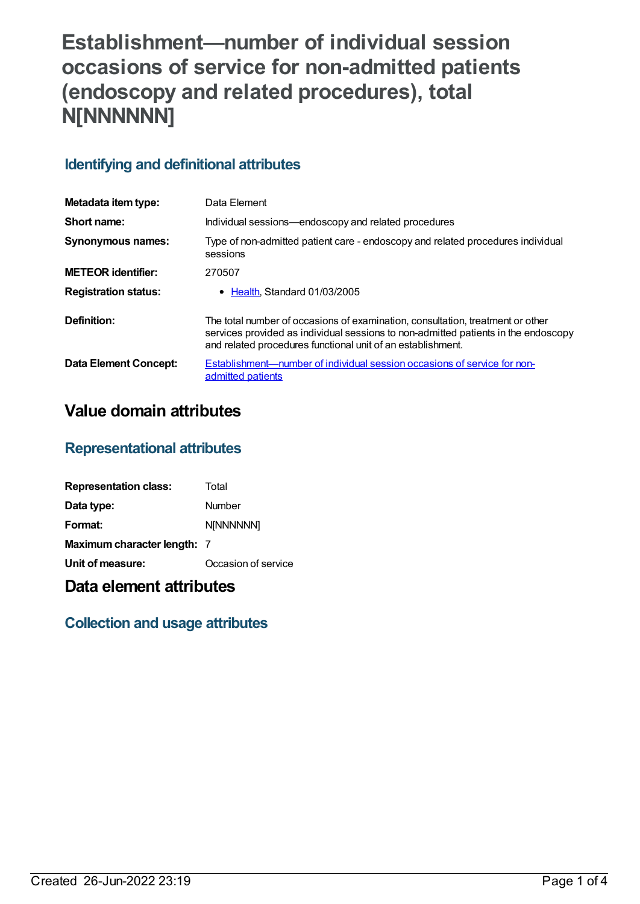# **Establishment—number of individual session occasions of service for non-admitted patients (endoscopy and related procedures), total N[NNNNNN]**

## **Identifying and definitional attributes**

| Metadata item type:         | Data Element                                                                                                                                                                                                                        |
|-----------------------------|-------------------------------------------------------------------------------------------------------------------------------------------------------------------------------------------------------------------------------------|
| Short name:                 | Individual sessions—endoscopy and related procedures                                                                                                                                                                                |
| <b>Synonymous names:</b>    | Type of non-admitted patient care - endoscopy and related procedures individual<br>sessions                                                                                                                                         |
| <b>METEOR identifier:</b>   | 270507                                                                                                                                                                                                                              |
| <b>Registration status:</b> | $\bullet$ Health. Standard 01/03/2005                                                                                                                                                                                               |
| Definition:                 | The total number of occasions of examination, consultation, treatment or other<br>services provided as individual sessions to non-admitted patients in the endoscopy<br>and related procedures functional unit of an establishment. |
| Data Element Concept:       | Establishment—number of individual session occasions of service for non-<br>admitted patients                                                                                                                                       |

# **Value domain attributes**

### **Representational attributes**

| <b>Representation class:</b> | Total               |
|------------------------------|---------------------|
| Data type:                   | Number              |
| Format:                      | <b>N[NNNNNN]</b>    |
| Maximum character length: 7  |                     |
| Unit of measure:             | Occasion of service |

# **Data element attributes**

### **Collection and usage attributes**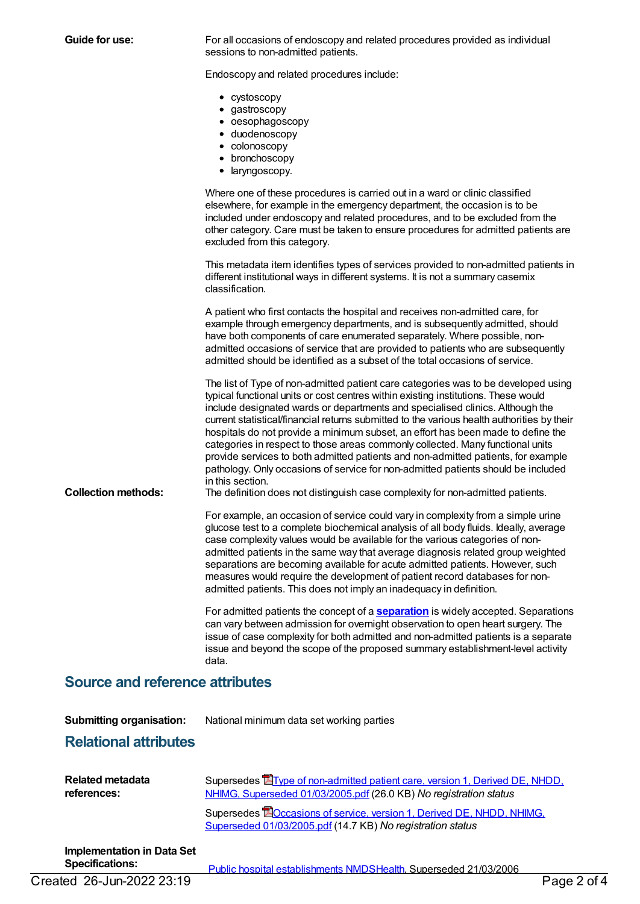**Guide for use:** For all occasions of endoscopy and related procedures provided as individual sessions to non-admitted patients.

Endoscopy and related procedures include:

- cystoscopy
- gastroscopy
- oesophagoscopy
- duodenoscopy
- colonoscopy
- bronchoscopy
- laryngoscopy.

Where one of these procedures is carried out in a ward or clinic classified elsewhere, for example in the emergency department, the occasion is to be included under endoscopy and related procedures, and to be excluded from the other category. Care must be taken to ensure procedures for admitted patients are excluded from this category.

This metadata item identifies types of services provided to non-admitted patients in different institutional ways in different systems. It is not a summary casemix classification.

A patient who first contacts the hospital and receives non-admitted care, for example through emergency departments, and is subsequently admitted, should have both components of care enumerated separately. Where possible, nonadmitted occasions of service that are provided to patients who are subsequently admitted should be identified as a subset of the total occasions of service.

The list of Type of non-admitted patient care categories was to be developed using typical functional units or cost centres within existing institutions. These would include designated wards or departments and specialised clinics. Although the current statistical/financial returns submitted to the various health authorities by their hospitals do not provide a minimum subset, an effort has been made to define the categories in respect to those areas commonly collected. Many functional units provide services to both admitted patients and non-admitted patients, for example pathology. Only occasions of service for non-admitted patients should be included in this section.

**Collection methods:** The definition does not distinguish case complexity for non-admitted patients.

For example, an occasion of service could vary in complexity from a simple urine glucose test to a complete biochemical analysis of all body fluids. Ideally, average case complexity values would be available for the various categories of nonadmitted patients in the same way that average diagnosis related group weighted separations are becoming available for acute admitted patients. However, such measures would require the development of patient record databases for nonadmitted patients. This does not imply an inadequacy in definition.

For admitted patients the concept of a **[separation](https://meteor.aihw.gov.au/content/327268)** is widely accepted. Separations can vary between admission for overnight observation to open heart surgery. The issue of case complexity for both admitted and non-admitted patients is a separate issue and beyond the scope of the proposed summary establishment-level activity data.

### **Source and reference attributes**

**Submitting organisation:** National minimum data set working parties

### **Relational attributes**

| Related metadata | Supersedes <b>E</b> Type of non-admitted patient care, version 1, Derived DE, NHDD,                                                         |
|------------------|---------------------------------------------------------------------------------------------------------------------------------------------|
| references:      | NHIMG, Superseded 01/03/2005.pdf (26.0 KB) No registration status                                                                           |
|                  | Supersedes <b>BO</b> ccasions of service, version 1, Derived DE, NHDD, NHIMG,<br>Superseded 01/03/2005.pdf (14.7 KB) No registration status |

**Implementation in Data Set**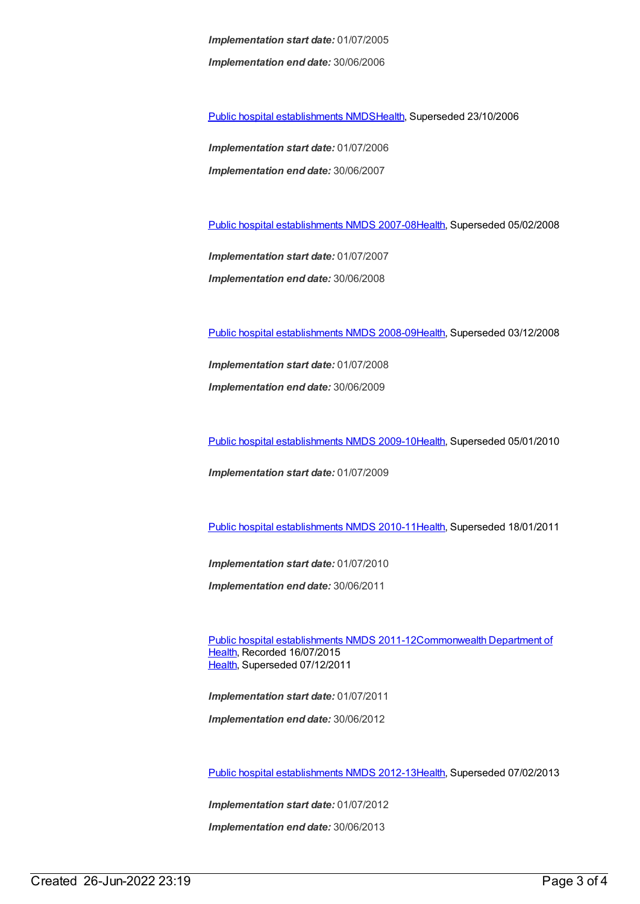*Implementation start date:* 01/07/2005 *Implementation end date:* 30/06/2006

Public hospital [establishments](https://meteor.aihw.gov.au/content/334285) NMDS[Health](https://meteor.aihw.gov.au/RegistrationAuthority/12), Superseded 23/10/2006

*Implementation start date:* 01/07/2006 *Implementation end date:* 30/06/2007

Public hospital [establishments](https://meteor.aihw.gov.au/content/345139) NMDS 2007-08[Health](https://meteor.aihw.gov.au/RegistrationAuthority/12), Superseded 05/02/2008

*Implementation start date:* 01/07/2007 *Implementation end date:* 30/06/2008

Public hospital [establishments](https://meteor.aihw.gov.au/content/362302) NMDS 2008-09[Health](https://meteor.aihw.gov.au/RegistrationAuthority/12), Superseded 03/12/2008

*Implementation start date:* 01/07/2008 *Implementation end date:* 30/06/2009

Public hospital [establishments](https://meteor.aihw.gov.au/content/374924) NMDS 2009-10[Health](https://meteor.aihw.gov.au/RegistrationAuthority/12), Superseded 05/01/2010

*Implementation start date:* 01/07/2009

Public hospital [establishments](https://meteor.aihw.gov.au/content/386794) NMDS 2010-11[Health](https://meteor.aihw.gov.au/RegistrationAuthority/12), Superseded 18/01/2011

*Implementation start date:* 01/07/2010

*Implementation end date:* 30/06/2011

Public hospital [establishments](https://meteor.aihw.gov.au/content/426900) NMDS [2011-12Commonwealth](https://meteor.aihw.gov.au/RegistrationAuthority/10) Department of Health, Recorded 16/07/2015 [Health](https://meteor.aihw.gov.au/RegistrationAuthority/12), Superseded 07/12/2011

*Implementation start date:* 01/07/2011 *Implementation end date:* 30/06/2012

Public hospital [establishments](https://meteor.aihw.gov.au/content/470656) NMDS 2012-13[Health](https://meteor.aihw.gov.au/RegistrationAuthority/12), Superseded 07/02/2013

*Implementation start date:* 01/07/2012 *Implementation end date:* 30/06/2013